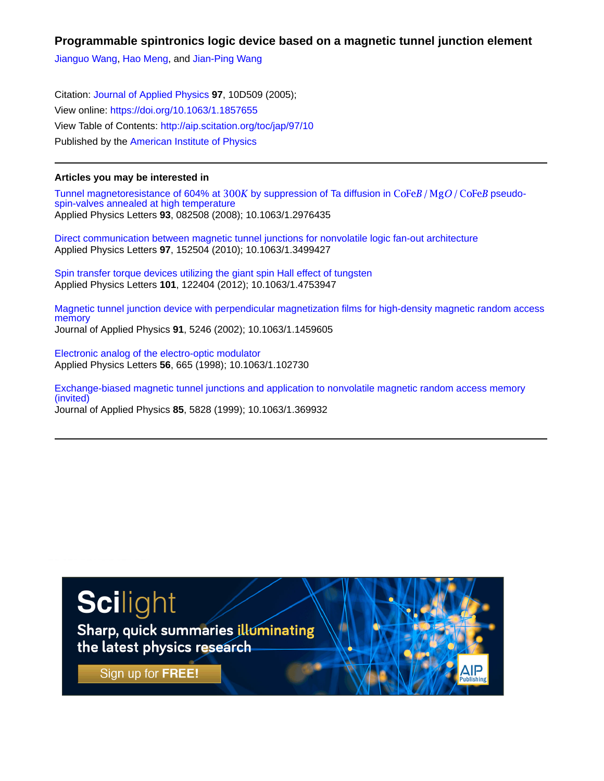## **Programmable spintronics logic device based on a magnetic tunnel junction element**

[Jianguo Wang,](http://aip.scitation.org/author/Wang%2C+Jianguo) [Hao Meng,](http://aip.scitation.org/author/Meng%2C+Hao) and [Jian-Ping Wang](http://aip.scitation.org/author/Wang%2C+Jian-Ping)

Citation: [Journal of Applied Physics](/loi/jap) **97**, 10D509 (2005); View online: <https://doi.org/10.1063/1.1857655> View Table of Contents: <http://aip.scitation.org/toc/jap/97/10> Published by the [American Institute of Physics](http://aip.scitation.org/publisher/)

## **Articles you may be interested in**

Tunnel magnetoresistance of 604% at 300K by suppression of Ta diffusion in  $\text{CoFe}B/\text{MgO}/\text{CoFe}B$  pseudo[spin-valves annealed at high temperature](http://aip.scitation.org/doi/abs/10.1063/1.2976435) Applied Physics Letters **93**, 082508 (2008); 10.1063/1.2976435

[Direct communication between magnetic tunnel junctions for nonvolatile logic fan-out architecture](http://aip.scitation.org/doi/abs/10.1063/1.3499427) Applied Physics Letters **97**, 152504 (2010); 10.1063/1.3499427

[Spin transfer torque devices utilizing the giant spin Hall effect of tungsten](http://aip.scitation.org/doi/abs/10.1063/1.4753947) Applied Physics Letters **101**, 122404 (2012); 10.1063/1.4753947

[Magnetic tunnel junction device with perpendicular magnetization films for high-density magnetic random access](http://aip.scitation.org/doi/abs/10.1063/1.1459605) [memory](http://aip.scitation.org/doi/abs/10.1063/1.1459605) Journal of Applied Physics **91**, 5246 (2002); 10.1063/1.1459605

[Electronic analog of the electro-optic modulator](http://aip.scitation.org/doi/abs/10.1063/1.102730) Applied Physics Letters **56**, 665 (1998); 10.1063/1.102730

[Exchange-biased magnetic tunnel junctions and application to nonvolatile magnetic random access memory](http://aip.scitation.org/doi/abs/10.1063/1.369932) [\(invited\)](http://aip.scitation.org/doi/abs/10.1063/1.369932) Journal of Applied Physics **85**, 5828 (1999); 10.1063/1.369932

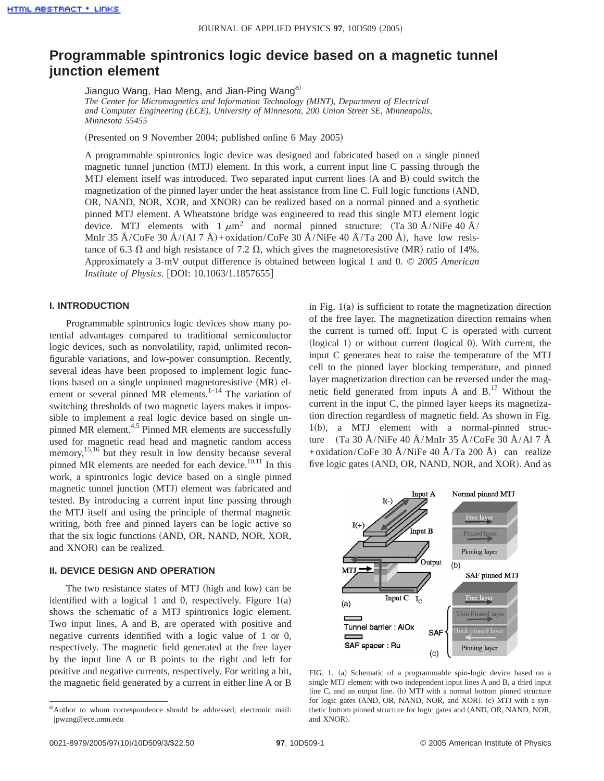# **Programmable spintronics logic device based on a magnetic tunnel junction element**

Jianguo Wang, Hao Meng, and Jian-Ping Wang<sup>a)</sup> *The Center for Micromagnetics and Information Technology (MINT), Department of Electrical and Computer Engineering (ECE), University of Minnesota, 200 Union Street SE, Minneapolis, Minnesota 55455*

(Presented on 9 November 2004; published online 6 May 2005)

A programmable spintronics logic device was designed and fabricated based on a single pinned magnetic tunnel junction  $(MTJ)$  element. In this work, a current input line C passing through the MTJ element itself was introduced. Two separated input current lines  $(A \text{ and } B)$  could switch the magnetization of the pinned layer under the heat assistance from line C. Full logic functions (AND, OR, NAND, NOR, XOR, and XNOR) can be realized based on a normal pinned and a synthetic pinned MTJ element. A Wheatstone bridge was engineered to read this single MTJ element logic device. MTJ elements with  $1 \mu m^2$  and normal pinned structure: (Ta 30 Å/NiFe 40 Å/ MnIr 35 Å/CoFe 30 Å/(Al 7 Å)+oxidation/CoFe 30 Å/NiFe 40 Å/Ta 200 Å), have low resistance of 6.3  $\Omega$  and high resistance of 7.2  $\Omega$ , which gives the magnetoresistive (MR) ratio of 14%. Approximately a 3-mV output difference is obtained between logical 1 and 0. © *2005 American Institute of Physics.* [DOI: 10.1063/1.1857655]

#### **I. INTRODUCTION**

Programmable spintronics logic devices show many potential advantages compared to traditional semiconductor logic devices, such as nonvolatility, rapid, unlimited reconfigurable variations, and low-power consumption. Recently, several ideas have been proposed to implement logic functions based on a single unpinned magnetoresistive (MR) element or several pinned MR elements.<sup>1-14</sup> The variation of switching thresholds of two magnetic layers makes it impossible to implement a real logic device based on single unpinned MR element.<sup>4,5</sup> Pinned MR elements are successfully used for magnetic read head and magnetic random access memory, $15,16$  but they result in low density because several pinned MR elements are needed for each device.<sup>10,11</sup> In this work, a spintronics logic device based on a single pinned magnetic tunnel junction (MTJ) element was fabricated and tested. By introducing a current input line passing through the MTJ itself and using the principle of thermal magnetic writing, both free and pinned layers can be logic active so that the six logic functions (AND, OR, NAND, NOR, XOR, and XNOR) can be realized.

### **II. DEVICE DESIGN AND OPERATION**

The two resistance states of MTJ (high and low) can be identified with a logical 1 and 0, respectively. Figure  $1(a)$ shows the schematic of a MTJ spintronics logic element. Two input lines, A and B, are operated with positive and negative currents identified with a logic value of 1 or 0, respectively. The magnetic field generated at the free layer by the input line A or B points to the right and left for positive and negative currents, respectively. For writing a bit, the magnetic field generated by a current in either line A or B

in Fig.  $1(a)$  is sufficient to rotate the magnetization direction of the free layer. The magnetization direction remains when the current is turned off. Input C is operated with current (logical 1) or without current (logical 0). With current, the input C generates heat to raise the temperature of the MTJ cell to the pinned layer blocking temperature, and pinned layer magnetization direction can be reversed under the magnetic field generated from inputs A and B.17 Without the current in the input C, the pinned layer keeps its magnetization direction regardless of magnetic field. As shown in Fig.  $1(b)$ , a MTJ element with a normal-pinned structure (Ta 30 Å/NiFe 40 Å/MnIr 35 Å/CoFe 30 Å/Al 7 Å +oxidation/CoFe 30 Å/NiFe 40 Å/Ta 200 Å) can realize five logic gates (AND, OR, NAND, NOR, and XOR). And as



FIG. 1. (a) Schematic of a programmable spin-logic device based on a single MTJ element with two independent input lines A and B, a third input line C, and an output line. (b) MTJ with a normal bottom pinned structure for logic gates (AND, OR, NAND, NOR, and XOR). (c) MTJ with a synthetic bottom pinned structure for logic gates and (AND, OR, NAND, NOR, and XNOR).

a)Author to whom correspondence should be addressed; electronic mail: jpwang@ece.umn.edu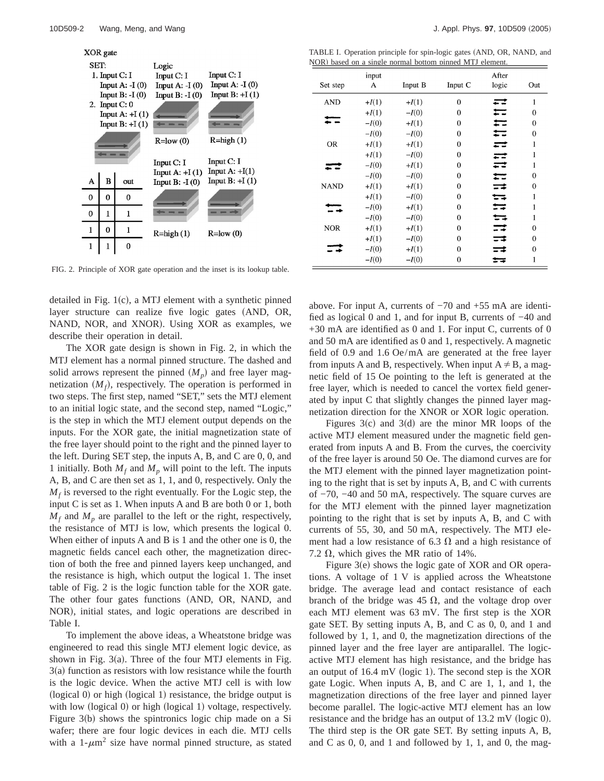

FIG. 2. Principle of XOR gate operation and the inset is its lookup table.

detailed in Fig.  $1(c)$ , a MTJ element with a synthetic pinned layer structure can realize five logic gates (AND, OR, NAND, NOR, and XNOR). Using XOR as examples, we describe their operation in detail.

The XOR gate design is shown in Fig. 2, in which the MTJ element has a normal pinned structure. The dashed and solid arrows represent the pinned  $(M_p)$  and free layer magnetization  $(M_f)$ , respectively. The operation is performed in two steps. The first step, named "SET," sets the MTJ element to an initial logic state, and the second step, named "Logic," is the step in which the MTJ element output depends on the inputs. For the XOR gate, the initial magnetization state of the free layer should point to the right and the pinned layer to the left. During SET step, the inputs A, B, and C are 0, 0, and 1 initially. Both  $M_f$  and  $M_p$  will point to the left. The inputs A, B, and C are then set as 1, 1, and 0, respectively. Only the  $M_f$  is reversed to the right eventually. For the Logic step, the input C is set as 1. When inputs A and B are both 0 or 1, both  $M_f$  and  $M_p$  are parallel to the left or the right, respectively, the resistance of MTJ is low, which presents the logical 0. When either of inputs A and B is 1 and the other one is 0, the magnetic fields cancel each other, the magnetization direction of both the free and pinned layers keep unchanged, and the resistance is high, which output the logical 1. The inset table of Fig. 2 is the logic function table for the XOR gate. The other four gates functions (AND, OR, NAND, and NOR), initial states, and logic operations are described in Table I.

To implement the above ideas, a Wheatstone bridge was engineered to read this single MTJ element logic device, as shown in Fig.  $3(a)$ . Three of the four MTJ elements in Fig.  $3(a)$  function as resistors with low resistance while the fourth is the logic device. When the active MTJ cell is with low  $\alpha$  (logical 0) or high (logical 1) resistance, the bridge output is with low (logical 0) or high (logical 1) voltage, respectively. Figure  $3(b)$  shows the spintronics logic chip made on a Si wafer; there are four logic devices in each die. MTJ cells with a  $1-\mu m^2$  size have normal pinned structure, as stated

TABLE I. Operation principle for spin-logic gates (AND, OR, NAND, and NOR) based on a single normal bottom pinned MTJ element.

|             | input   |         |              | After |              |
|-------------|---------|---------|--------------|-------|--------------|
| Set step    | A       | Input B | Input C      | logic | Out          |
| <b>AND</b>  | $+I(1)$ | $+I(1)$ | $\theta$     | --    | 1            |
|             | $+I(1)$ | $-I(0)$ | $\theta$     |       | $\theta$     |
|             | $-I(0)$ | $+I(1)$ | $\theta$     |       | $\theta$     |
|             | $-I(0)$ | $-I(0)$ | $\mathbf{0}$ |       | $\mathbf{0}$ |
| <b>OR</b>   | $+I(1)$ | $+I(1)$ | $\theta$     |       | 1            |
|             | $+I(1)$ | $-I(0)$ | $\theta$     |       | 1            |
|             | $-I(0)$ | $+I(1)$ | $\mathbf{0}$ | ≕     | 1            |
|             | $-I(0)$ | $-I(0)$ | $\theta$     | ≕     | $\theta$     |
| <b>NAND</b> | $+I(1)$ | $+I(1)$ | $\theta$     | ≔≠    | $\theta$     |
|             | $+I(1)$ | $-I(0)$ | $\theta$     | ⇆     | 1            |
|             | $-I(0)$ | $+I(1)$ | $\theta$     | ≕     | 1            |
|             | $-I(0)$ | $-I(0)$ | $\theta$     | ਜ਼    | 1            |
| <b>NOR</b>  | $+I(1)$ | $+I(1)$ | $\mathbf{0}$ | ≕     | 0            |
|             | $+I(1)$ | $-I(0)$ | $\theta$     | ≕     | $\theta$     |
|             | $-I(0)$ | $+I(1)$ | $\mathbf{0}$ | ≕     | $\mathbf{0}$ |
|             | $-I(0)$ | $-I(0)$ | $\mathbf{0}$ | ≕     | 1            |

above. For input A, currents of −70 and +55 mA are identified as logical 0 and 1, and for input B, currents of −40 and +30 mA are identified as 0 and 1. For input C, currents of 0 and 50 mA are identified as 0 and 1, respectively. A magnetic field of 0.9 and 1.6 Oe/mA are generated at the free layer from inputs A and B, respectively. When input  $A \neq B$ , a magnetic field of 15 Oe pointing to the left is generated at the free layer, which is needed to cancel the vortex field generated by input C that slightly changes the pinned layer magnetization direction for the XNOR or XOR logic operation.

Figures  $3(c)$  and  $3(d)$  are the minor MR loops of the active MTJ element measured under the magnetic field generated from inputs A and B. From the curves, the coercivity of the free layer is around 50 Oe. The diamond curves are for the MTJ element with the pinned layer magnetization pointing to the right that is set by inputs A, B, and C with currents of −70, −40 and 50 mA, respectively. The square curves are for the MTJ element with the pinned layer magnetization pointing to the right that is set by inputs A, B, and C with currents of 55, 30, and 50 mA, respectively. The MTJ element had a low resistance of 6.3  $\Omega$  and a high resistance of 7.2  $\Omega$ , which gives the MR ratio of 14%.

Figure  $3(e)$  shows the logic gate of XOR and OR operations. A voltage of 1 V is applied across the Wheatstone bridge. The average lead and contact resistance of each branch of the bridge was 45  $\Omega$ , and the voltage drop over each MTJ element was 63 mV. The first step is the XOR gate SET. By setting inputs A, B, and C as 0, 0, and 1 and followed by 1, 1, and 0, the magnetization directions of the pinned layer and the free layer are antiparallel. The logicactive MTJ element has high resistance, and the bridge has an output of  $16.4$  mV (logic 1). The second step is the XOR gate Logic. When inputs A, B, and C are 1, 1, and 1, the magnetization directions of the free layer and pinned layer become parallel. The logic-active MTJ element has an low resistance and the bridge has an output of  $13.2 \text{ mV}$  (logic 0). The third step is the OR gate SET. By setting inputs A, B, and C as 0, 0, and 1 and followed by 1, 1, and 0, the mag-